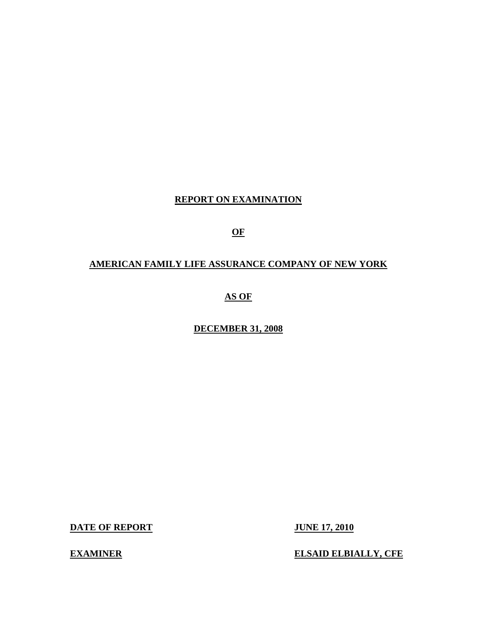## **REPORT ON EXAMINATION**

**OF** 

## **AMERICAN FAMILY LIFE ASSURANCE COMPANY OF NEW YORK**

**AS OF** 

**DECEMBER 31, 2008** 

**DATE OF REPORT JUNE 17, 2010** 

**EXAMINER ELSAID ELBIALLY, CFE**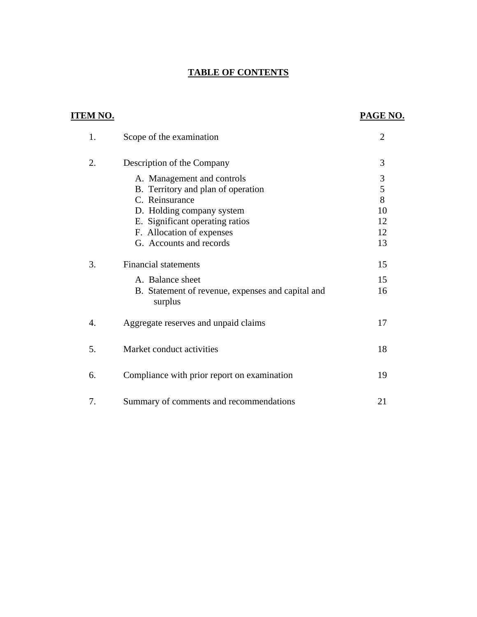## **TABLE OF CONTENTS**

| <u>ITEM NO.</u>  |                                                              | <b>PAGE NO.</b> |
|------------------|--------------------------------------------------------------|-----------------|
| 1.               | Scope of the examination                                     | $\overline{2}$  |
| 2.               | Description of the Company                                   | 3               |
|                  | A. Management and controls                                   | 3               |
|                  | B. Territory and plan of operation                           | 5               |
|                  | C. Reinsurance                                               | 8               |
|                  | D. Holding company system                                    | 10              |
|                  | E. Significant operating ratios                              | 12              |
|                  | F. Allocation of expenses                                    | 12              |
|                  | G. Accounts and records                                      | 13              |
| 3.               | <b>Financial statements</b>                                  | 15              |
|                  | A. Balance sheet                                             | 15              |
|                  | B. Statement of revenue, expenses and capital and<br>surplus | 16              |
| $\overline{4}$ . | Aggregate reserves and unpaid claims                         | 17              |
| 5.               | Market conduct activities                                    | 18              |
| 6.               | Compliance with prior report on examination                  | 19              |
| 7.               | Summary of comments and recommendations                      | 21              |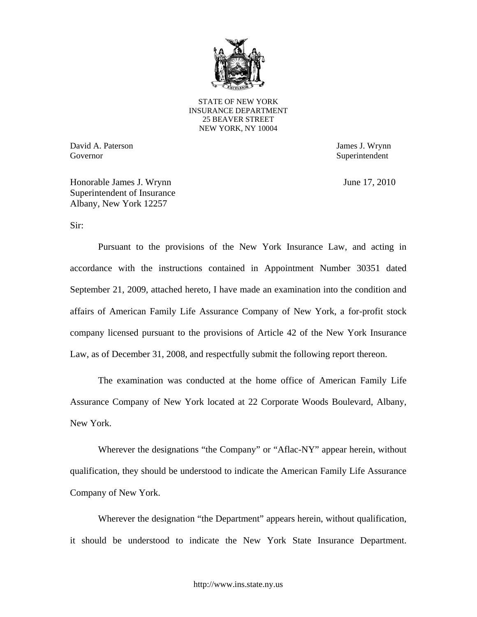

 NEW YORK, NY 10004 STATE OF NEW YORK INSURANCE DEPARTMENT 25 BEAVER STREET

David A. Paterson James J. Wrynn Governor Superintendent Superintendent Superintendent Superintendent Superintendent Superintendent Superintendent Superintendent Superintendent Superintendent Superintendent Superintendent Superintendent Superintendent Sup

Honorable James J. Wrynn June 17, 2010 Superintendent of Insurance Albany, New York 12257

Sir:

Pursuant to the provisions of the New York Insurance Law, and acting in accordance with the instructions contained in Appointment Number 30351 dated September 21, 2009, attached hereto, I have made an examination into the condition and affairs of American Family Life Assurance Company of New York, a for-profit stock company licensed pursuant to the provisions of Article 42 of the New York Insurance Law, as of December 31, 2008, and respectfully submit the following report thereon.

The examination was conducted at the home office of American Family Life Assurance Company of New York located at 22 Corporate Woods Boulevard, Albany, New York.

Wherever the designations "the Company" or "Aflac-NY" appear herein, without qualification, they should be understood to indicate the American Family Life Assurance Company of New York.

Wherever the designation "the Department" appears herein, without qualification, it should be understood to indicate the New York State Insurance Department.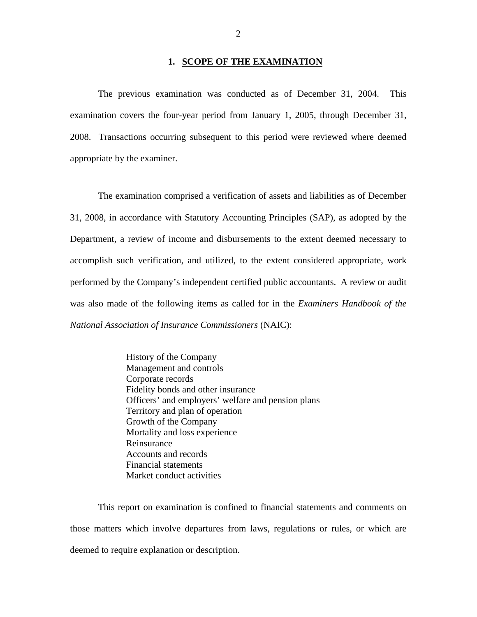#### **1. SCOPE OF THE EXAMINATION**

The previous examination was conducted as of December 31, 2004. This examination covers the four-year period from January 1, 2005, through December 31, 2008. Transactions occurring subsequent to this period were reviewed where deemed appropriate by the examiner.

The examination comprised a verification of assets and liabilities as of December 31, 2008, in accordance with Statutory Accounting Principles (SAP), as adopted by the Department, a review of income and disbursements to the extent deemed necessary to accomplish such verification, and utilized, to the extent considered appropriate, work performed by the Company's independent certified public accountants. A review or audit was also made of the following items as called for in the *Examiners Handbook of the National Association of Insurance Commissioners* (NAIC):

> History of the Company Management and controls Corporate records Fidelity bonds and other insurance Officers' and employers' welfare and pension plans Territory and plan of operation Growth of the Company Mortality and loss experience Reinsurance Accounts and records Financial statements Market conduct activities

This report on examination is confined to financial statements and comments on those matters which involve departures from laws, regulations or rules, or which are deemed to require explanation or description.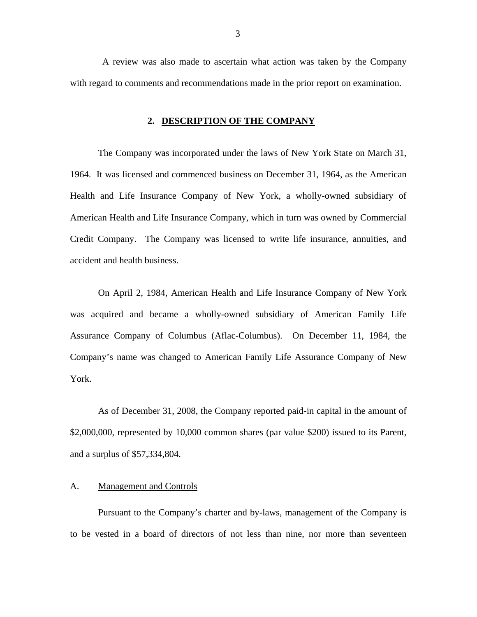<span id="page-4-0"></span>A review was also made to ascertain what action was taken by the Company with regard to comments and recommendations made in the prior report on examination.

## **2. DESCRIPTION OF THE COMPANY**

The Company was incorporated under the laws of New York State on March 31, 1964. It was licensed and commenced business on December 31, 1964, as the American Health and Life Insurance Company of New York, a wholly-owned subsidiary of American Health and Life Insurance Company, which in turn was owned by Commercial Credit Company. The Company was licensed to write life insurance, annuities, and accident and health business.

On April 2, 1984, American Health and Life Insurance Company of New York was acquired and became a wholly-owned subsidiary of American Family Life Assurance Company of Columbus (Aflac-Columbus). On December 11, 1984, the Company's name was changed to American Family Life Assurance Company of New York.

As of December 31, 2008, the Company reported paid-in capital in the amount of \$2,000,000, represented by 10,000 common shares (par value \$200) issued to its Parent, and a surplus of \$57,334,804.

### A. Management and Controls

Pursuant to the Company's charter and by-laws, management of the Company is to be vested in a board of directors of not less than nine, nor more than seventeen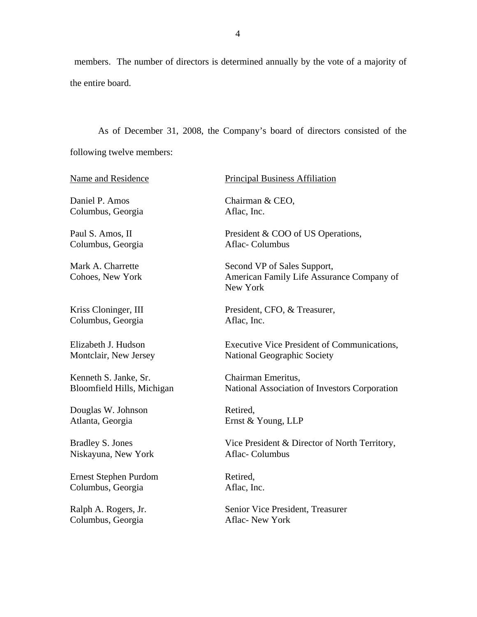members. The number of directors is determined annually by the vote of a majority of the entire board.

As of December 31, 2008, the Company's board of directors consisted of the following twelve members:

Name and Residence

Daniel P. Amos Columbus, Georgia

Paul S. Amos, II Columbus, Georgia

Mark A. Charrette Cohoes, New York

Kriss Cloninger, III Columbus, Georgia

Elizabeth J. Hudson Montclair, New Jersey

Kenneth S. Janke, Sr. Bloomfield Hills, Michigan

Douglas W. Johnson Atlanta, Georgia

Bradley S. Jones Niskayuna, New York

Ernest Stephen Purdom Columbus, Georgia

Ralph A. Rogers, Jr. Columbus, Georgia

#### Principal Business Affiliation

Chairman & CEO, Aflac, Inc.

President & COO of US Operations, Aflac- Columbus

Second VP of Sales Support, American Family Life Assurance Company of New York

President, CFO, & Treasurer, Aflac, Inc.

Executive Vice President of Communications, National Geographic Society

Chairman Emeritus, National Association of Investors Corporation

Retired, Ernst & Young, LLP

Vice President & Director of North Territory, Aflac- Columbus

Retired, Aflac, Inc.

Senior Vice President, Treasurer Aflac- New York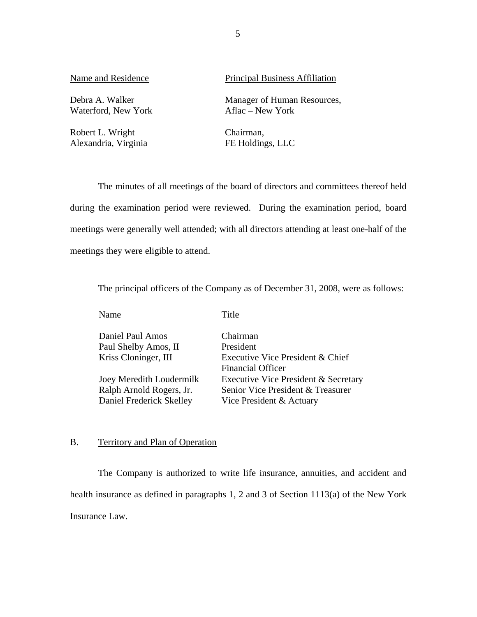Debra A. Walker Waterford, New York

Robert L. Wright Alexandria, Virginia

Name and Residence Principal Business Affiliation

Manager of Human Resources, Aflac – New York

Chairman, FE Holdings, LLC

The minutes of all meetings of the board of directors and committees thereof held during the examination period were reviewed. During the examination period, board meetings were generally well attended; with all directors attending at least one-half of the meetings they were eligible to attend.

The principal officers of the Company as of December 31, 2008, were as follows:

Name Title

| Daniel Paul Amos         | Chairman                             |
|--------------------------|--------------------------------------|
| Paul Shelby Amos, II     | President                            |
| Kriss Cloninger, III     | Executive Vice President & Chief     |
|                          | <b>Financial Officer</b>             |
| Joey Meredith Loudermilk | Executive Vice President & Secretary |
| Ralph Arnold Rogers, Jr. | Senior Vice President & Treasurer    |
| Daniel Frederick Skelley | Vice President & Actuary             |

## B. Territory and Plan of Operation

The Company is authorized to write life insurance, annuities, and accident and health insurance as defined in paragraphs 1, 2 and 3 of Section 1113(a) of the New York Insurance Law.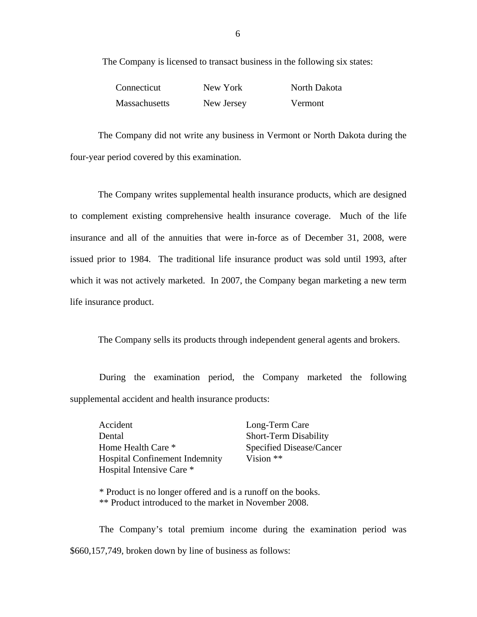The Company is licensed to transact business in the following six states:

| Connecticut          | New York   | North Dakota |
|----------------------|------------|--------------|
| <b>Massachusetts</b> | New Jersey | Vermont      |

The Company did not write any business in Vermont or North Dakota during the four-year period covered by this examination.

The Company writes supplemental health insurance products, which are designed to complement existing comprehensive health insurance coverage. Much of the life insurance and all of the annuities that were in-force as of December 31, 2008, were issued prior to 1984. The traditional life insurance product was sold until 1993, after which it was not actively marketed. In 2007, the Company began marketing a new term life insurance product.

The Company sells its products through independent general agents and brokers.

During the examination period, the Company marketed the following supplemental accident and health insurance products:

Accident Long-Term Care Dental Short-Term Disability Home Health Care \* Specified Disease/Cancer Hospital Confinement Indemnity Vision \*\* Hospital Intensive Care \*

\* Product is no longer offered and is a runoff on the books. \*\* Product introduced to the market in November 2008.

The Company's total premium income during the examination period was \$660,157,749, broken down by line of business as follows: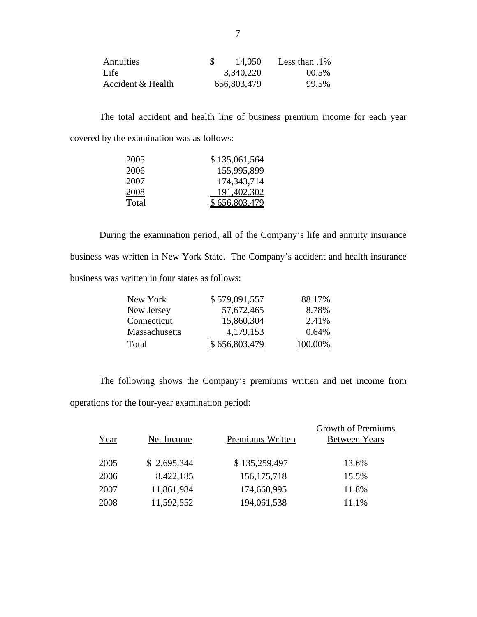| <b>Annuities</b>  | 14.050      | Less than $.1\%$ |
|-------------------|-------------|------------------|
| Life              | 3,340,220   | $00.5\%$         |
| Accident & Health | 656,803,479 | 99.5%            |

The total accident and health line of business premium income for each year covered by the examination was as follows:

| 2005  | \$135,061,564 |
|-------|---------------|
| 2006  | 155,995,899   |
| 2007  | 174, 343, 714 |
| 2008  | 191,402,302   |
| Total | \$656,803,479 |

During the examination period, all of the Company's life and annuity insurance business was written in New York State. The Company's accident and health insurance business was written in four states as follows:

| New York      | \$579,091,557 | 88.17%  |
|---------------|---------------|---------|
| New Jersey    | 57,672,465    | 8.78%   |
| Connecticut   | 15,860,304    | 2.41%   |
| Massachusetts | 4,179,153     | 0.64%   |
| Total         | \$656,803,479 | 100.00% |

The following shows the Company's premiums written and net income from operations for the four-year examination period:

| Year | Net Income  | Premiums Written | <b>Growth of Premiums</b><br><b>Between Years</b> |
|------|-------------|------------------|---------------------------------------------------|
| 2005 | \$2,695,344 | \$135,259,497    | 13.6%                                             |
| 2006 | 8,422,185   | 156, 175, 718    | 15.5%                                             |
| 2007 | 11,861,984  | 174,660,995      | 11.8%                                             |
| 2008 | 11,592,552  | 194,061,538      | 11.1%                                             |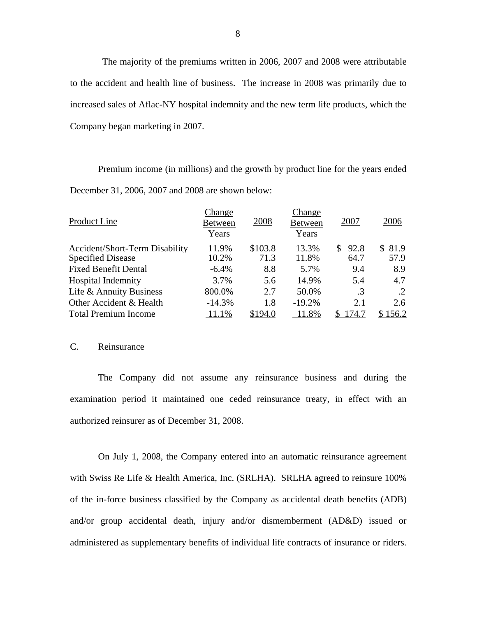The majority of the premiums written in 2006, 2007 and 2008 were attributable to the accident and health line of business. The increase in 2008 was primarily due to increased sales of Aflac-NY hospital indemnity and the new term life products, which the Company began marketing in 2007.

Premium income (in millions) and the growth by product line for the years ended December 31, 2006, 2007 and 2008 are shown below:

| Product Line                   | Change<br><b>Between</b><br>Years | 2008    | <b>Change</b><br><b>Between</b><br>Years | 2007       | 2006    |
|--------------------------------|-----------------------------------|---------|------------------------------------------|------------|---------|
| Accident/Short-Term Disability | 11.9%                             | \$103.8 | 13.3%                                    | 92.8<br>S. | \$81.9  |
| <b>Specified Disease</b>       | 10.2%                             | 71.3    | 11.8%                                    | 64.7       | 57.9    |
| <b>Fixed Benefit Dental</b>    | $-6.4%$                           | 8.8     | 5.7%                                     | 9.4        | 8.9     |
| <b>Hospital Indemnity</b>      | 3.7%                              | 5.6     | 14.9%                                    | 5.4        | 4.7     |
| Life & Annuity Business        | 800.0%                            | 2.7     | 50.0%                                    | $\cdot$ 3  | .2      |
| Other Accident & Health        | $-14.3%$                          | 1.8     | $-19.2%$                                 | 2.1        | 2.6     |
| <b>Total Premium Income</b>    | 11.1%                             | \$194.0 | 11.8%                                    | 174.7      | \$156.2 |

## C. Reinsurance

The Company did not assume any reinsurance business and during the examination period it maintained one ceded reinsurance treaty, in effect with an authorized reinsurer as of December 31, 2008.

On July 1, 2008, the Company entered into an automatic reinsurance agreement with Swiss Re Life & Health America, Inc. (SRLHA). SRLHA agreed to reinsure 100% of the in-force business classified by the Company as accidental death benefits (ADB) and/or group accidental death, injury and/or dismemberment (AD&D) issued or administered as supplementary benefits of individual life contracts of insurance or riders.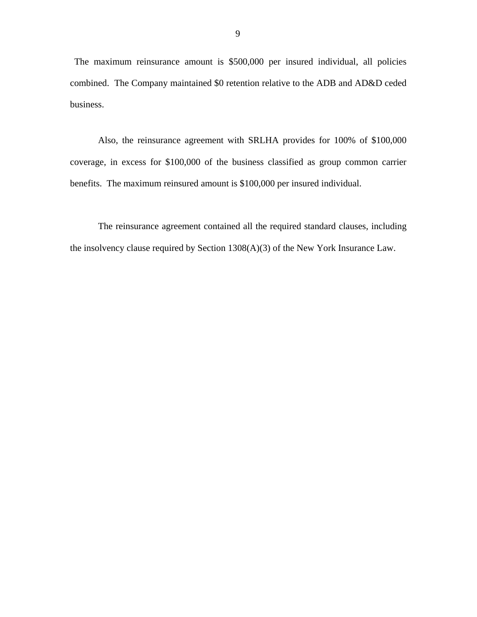The maximum reinsurance amount is \$500,000 per insured individual, all policies combined. The Company maintained \$0 retention relative to the ADB and AD&D ceded business.

Also, the reinsurance agreement with SRLHA provides for 100% of \$100,000 coverage, in excess for \$100,000 of the business classified as group common carrier benefits. The maximum reinsured amount is \$100,000 per insured individual.

The reinsurance agreement contained all the required standard clauses, including the insolvency clause required by Section 1308(A)(3) of the New York Insurance Law.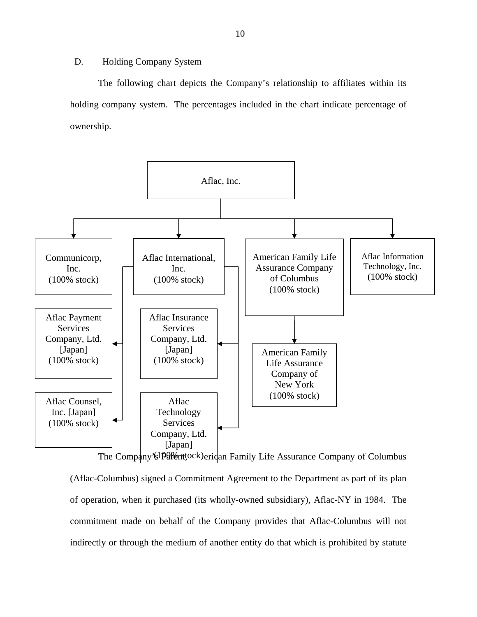## <span id="page-11-0"></span>D. Holding Company System

The following chart depicts the Company's relationship to affiliates within its holding company system. The percentages included in the chart indicate percentage of ownership.



(Aflac-Columbus) signed a Commitment Agreement to the Department as part of its plan of operation, when it purchased (its wholly-owned subsidiary), Aflac-NY in 1984. The commitment made on behalf of the Company provides that Aflac-Columbus will not indirectly or through the medium of another entity do that which is prohibited by statute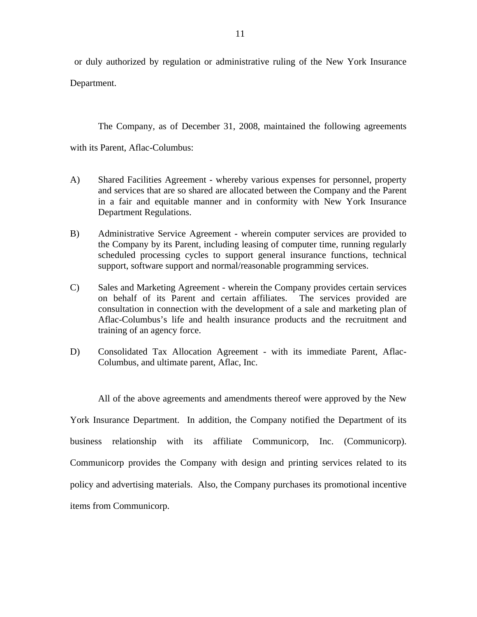or duly authorized by regulation or administrative ruling of the New York Insurance Department.

The Company, as of December 31, 2008, maintained the following agreements

with its Parent, Aflac-Columbus:

- A) Shared Facilities Agreement whereby various expenses for personnel, property and services that are so shared are allocated between the Company and the Parent in a fair and equitable manner and in conformity with New York Insurance Department Regulations.
- B) Administrative Service Agreement wherein computer services are provided to the Company by its Parent, including leasing of computer time, running regularly scheduled processing cycles to support general insurance functions, technical support, software support and normal/reasonable programming services.
- C) Sales and Marketing Agreement wherein the Company provides certain services on behalf of its Parent and certain affiliates. The services provided are consultation in connection with the development of a sale and marketing plan of Aflac-Columbus's life and health insurance products and the recruitment and training of an agency force.
- D) Consolidated Tax Allocation Agreement with its immediate Parent, Aflac-Columbus, and ultimate parent, Aflac, Inc.

 business relationship with its affiliate Communicorp, Inc. (Communicorp). Communicorp provides the Company with design and printing services related to its All of the above agreements and amendments thereof were approved by the New York Insurance Department. In addition, the Company notified the Department of its policy and advertising materials. Also, the Company purchases its promotional incentive items from Communicorp.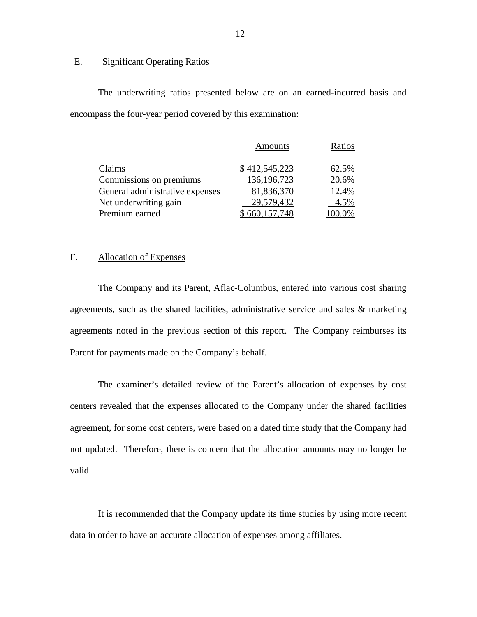## E. Significant Operating Ratios

The underwriting ratios presented below are on an earned-incurred basis and encompass the four-year period covered by this examination:

|                                 | <b>Amounts</b> | Ratios |
|---------------------------------|----------------|--------|
| Claims                          | \$412,545,223  | 62.5%  |
| Commissions on premiums         | 136, 196, 723  | 20.6%  |
| General administrative expenses | 81,836,370     | 12.4%  |
| Net underwriting gain           | 29,579,432     | 4.5%   |
| Premium earned                  | 660,157,748    | 100.0% |

## F. Allocation of Expenses

The Company and its Parent, Aflac-Columbus, entered into various cost sharing agreements, such as the shared facilities, administrative service and sales & marketing agreements noted in the previous section of this report. The Company reimburses its Parent for payments made on the Company's behalf.

The examiner's detailed review of the Parent's allocation of expenses by cost centers revealed that the expenses allocated to the Company under the shared facilities agreement, for some cost centers, were based on a dated time study that the Company had not updated. Therefore, there is concern that the allocation amounts may no longer be valid.

It is recommended that the Company update its time studies by using more recent data in order to have an accurate allocation of expenses among affiliates.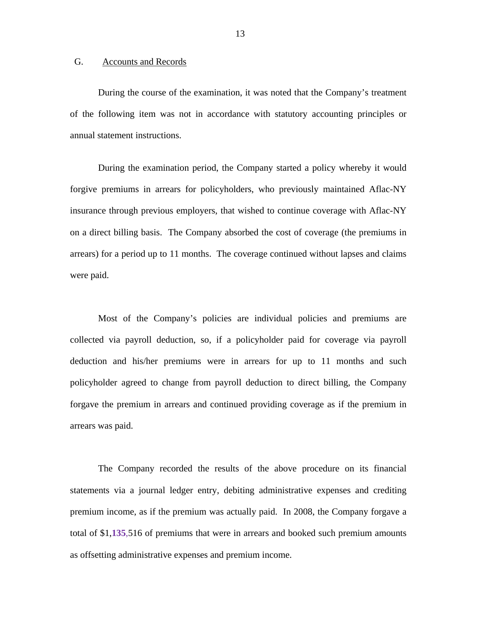## <span id="page-14-0"></span>G. Accounts and Records

During the course of the examination, it was noted that the Company's treatment of the following item was not in accordance with statutory accounting principles or annual statement instructions.

During the examination period, the Company started a policy whereby it would forgive premiums in arrears for policyholders, who previously maintained Aflac-NY insurance through previous employers, that wished to continue coverage with Aflac-NY on a direct billing basis. The Company absorbed the cost of coverage (the premiums in arrears) for a period up to 11 months. The coverage continued without lapses and claims were paid.

Most of the Company's policies are individual policies and premiums are collected via payroll deduction, so, if a policyholder paid for coverage via payroll deduction and his/her premiums were in arrears for up to 11 months and such policyholder agreed to change from payroll deduction to direct billing, the Company forgave the premium in arrears and continued providing coverage as if the premium in arrears was paid.

The Company recorded the results of the above procedure on its financial statements via a journal ledger entry, debiting administrative expenses and crediting premium income, as if the premium was actually paid. In 2008, the Company forgave a total of \$1,**135**,516 of premiums that were in arrears and booked such premium amounts as offsetting administrative expenses and premium income.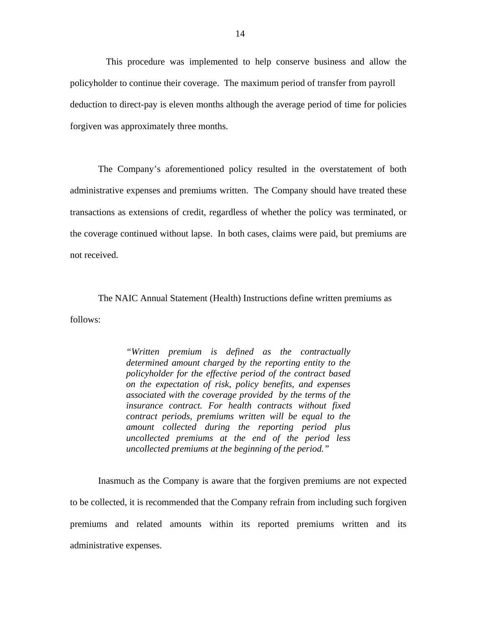This procedure was implemented to help conserve business and allow the policyholder to continue their coverage. The maximum period of transfer from payroll deduction to direct-pay is eleven months although the average period of time for policies forgiven was approximately three months.

The Company's aforementioned policy resulted in the overstatement of both administrative expenses and premiums written. The Company should have treated these transactions as extensions of credit, regardless of whether the policy was terminated, or the coverage continued without lapse. In both cases, claims were paid, but premiums are not received.

The NAIC Annual Statement (Health) Instructions define written premiums as follows:

> *"Written premium is defined as the contractually determined amount charged by the reporting entity to the policyholder for the effective period of the contract based on the expectation of risk, policy benefits, and expenses associated with the coverage provided by the terms of the insurance contract. For health contracts without fixed contract periods, premiums written will be equal to the amount collected during the reporting period plus uncollected premiums at the end of the period less uncollected premiums at the beginning of the period."*

Inasmuch as the Company is aware that the forgiven premiums are not expected to be collected, it is recommended that the Company refrain from including such forgiven premiums and related amounts within its reported premiums written and its administrative expenses.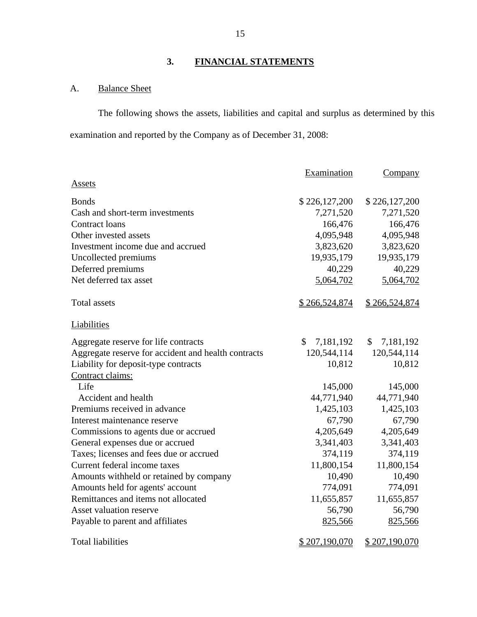## **3. FINANCIAL STATEMENTS**

## A. Balance Sheet

The following shows the assets, liabilities and capital and surplus as determined by this examination and reported by the Company as of December 31, 2008:

|                                                     | Examination                | Company                    |
|-----------------------------------------------------|----------------------------|----------------------------|
| <b>Assets</b>                                       |                            |                            |
| <b>Bonds</b>                                        | \$226,127,200              | \$226,127,200              |
| Cash and short-term investments                     | 7,271,520                  | 7,271,520                  |
| <b>Contract loans</b>                               | 166,476                    | 166,476                    |
| Other invested assets                               | 4,095,948                  | 4,095,948                  |
| Investment income due and accrued                   | 3,823,620                  | 3,823,620                  |
| Uncollected premiums                                | 19,935,179                 | 19,935,179                 |
| Deferred premiums                                   | 40,229                     | 40,229                     |
| Net deferred tax asset                              | 5,064,702                  | 5,064,702                  |
| <b>Total assets</b>                                 | \$266,524,874              | <u>\$266,524,874</u>       |
| Liabilities                                         |                            |                            |
| Aggregate reserve for life contracts                | $\mathcal{S}$<br>7,181,192 | $\mathcal{S}$<br>7,181,192 |
| Aggregate reserve for accident and health contracts | 120,544,114                | 120,544,114                |
| Liability for deposit-type contracts                | 10,812                     | 10,812                     |
| Contract claims:                                    |                            |                            |
| Life                                                | 145,000                    | 145,000                    |
| Accident and health                                 | 44,771,940                 | 44,771,940                 |
| Premiums received in advance                        | 1,425,103                  | 1,425,103                  |
| Interest maintenance reserve                        | 67,790                     | 67,790                     |
| Commissions to agents due or accrued                | 4,205,649                  | 4,205,649                  |
| General expenses due or accrued                     | 3,341,403                  | 3,341,403                  |
| Taxes; licenses and fees due or accrued             | 374,119                    | 374,119                    |
| Current federal income taxes                        | 11,800,154                 | 11,800,154                 |
| Amounts withheld or retained by company             | 10,490                     | 10,490                     |
| Amounts held for agents' account                    | 774,091                    | 774,091                    |
| Remittances and items not allocated                 | 11,655,857                 | 11,655,857                 |
| <b>Asset valuation reserve</b>                      | 56,790                     | 56,790                     |
| Payable to parent and affiliates                    | 825,566                    | 825,566                    |
| <b>Total liabilities</b>                            | <u>\$207,190,070</u>       | <u>\$207,190,070</u>       |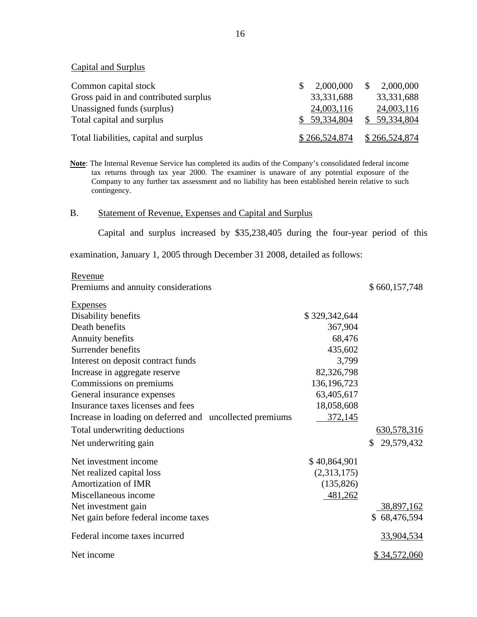**Capital and Surplus** 

| <b>Capital and Surplus</b>             |               |               |
|----------------------------------------|---------------|---------------|
| Common capital stock                   | 2,000,000     | 2,000,000     |
| Gross paid in and contributed surplus  | 33,331,688    | 33, 331, 688  |
| Unassigned funds (surplus)             | 24,003,116    | 24,003,116    |
| Total capital and surplus              | \$59,334,804  | \$59,334,804  |
| Total liabilities, capital and surplus | \$266,524,874 | \$266,524,874 |

**Note**: The Internal Revenue Service has completed its audits of the Company's consolidated federal income tax returns through tax year 2000. The examiner is unaware of any potential exposure of the Company to any further tax assessment and no liability has been established herein relative to such contingency.

#### B. Statement of Revenue, Expenses and Capital and Surplus

Capital and surplus increased by \$35,238,405 during the four-year period of this examination, January 1, 2005 through December 31 2008, detailed as follows:

| Revenue                                                  |               |                  |
|----------------------------------------------------------|---------------|------------------|
| Premiums and annuity considerations                      |               | \$660,157,748    |
| <b>Expenses</b>                                          |               |                  |
| Disability benefits                                      | \$329,342,644 |                  |
| Death benefits                                           | 367,904       |                  |
| Annuity benefits                                         | 68,476        |                  |
| Surrender benefits                                       | 435,602       |                  |
| Interest on deposit contract funds                       | 3,799         |                  |
| Increase in aggregate reserve                            | 82,326,798    |                  |
| Commissions on premiums                                  | 136, 196, 723 |                  |
| General insurance expenses                               | 63,405,617    |                  |
| Insurance taxes licenses and fees                        | 18,058,608    |                  |
| Increase in loading on deferred and uncollected premiums | 372,145       |                  |
| Total underwriting deductions                            |               | 630,578,316      |
| Net underwriting gain                                    |               | \$<br>29,579,432 |
| Net investment income                                    | \$40,864,901  |                  |
| Net realized capital loss                                | (2,313,175)   |                  |
| <b>Amortization of IMR</b>                               | (135, 826)    |                  |
| Miscellaneous income                                     | 481,262       |                  |
| Net investment gain                                      |               | 38,897,162       |
| Net gain before federal income taxes                     |               | \$68,476,594     |
| Federal income taxes incurred                            |               | 33,904,534       |
| Net income                                               |               | \$34,572,060     |

16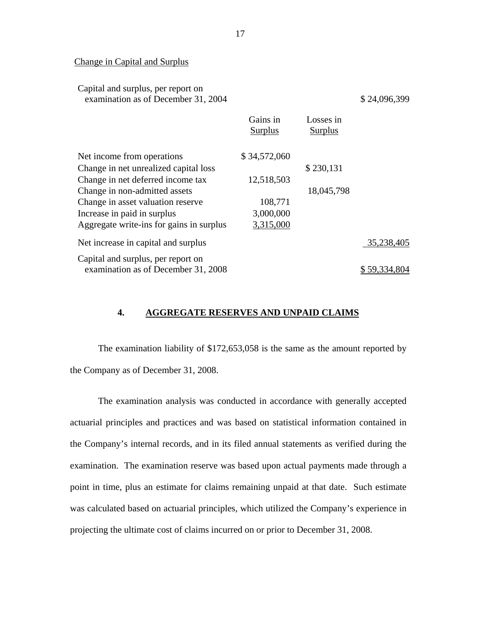#### Change in Capital and Surplus

| Capital and surplus, per report on<br>examination as of December 31, 2004 |                            |                             | \$24,096,399 |
|---------------------------------------------------------------------------|----------------------------|-----------------------------|--------------|
|                                                                           | Gains in<br><b>Surplus</b> | Losses in<br><b>Surplus</b> |              |
| Net income from operations                                                | \$34,572,060               |                             |              |
| Change in net unrealized capital loss                                     |                            | \$230,131                   |              |
| Change in net deferred income tax                                         | 12,518,503                 |                             |              |
| Change in non-admitted assets                                             |                            | 18,045,798                  |              |
| Change in asset valuation reserve                                         | 108,771                    |                             |              |
| Increase in paid in surplus                                               | 3,000,000                  |                             |              |
| Aggregate write-ins for gains in surplus                                  | 3,315,000                  |                             |              |
| Net increase in capital and surplus                                       |                            |                             | 35,238,405   |
| Capital and surplus, per report on                                        |                            |                             |              |
| examination as of December 31, 2008                                       |                            |                             |              |

### **4. AGGREGATE RESERVES AND UNPAID CLAIMS**

The examination liability of \$172,653,058 is the same as the amount reported by the Company as of December 31, 2008.

The examination analysis was conducted in accordance with generally accepted actuarial principles and practices and was based on statistical information contained in the Company's internal records, and in its filed annual statements as verified during the examination. The examination reserve was based upon actual payments made through a point in time, plus an estimate for claims remaining unpaid at that date. Such estimate was calculated based on actuarial principles, which utilized the Company's experience in projecting the ultimate cost of claims incurred on or prior to December 31, 2008.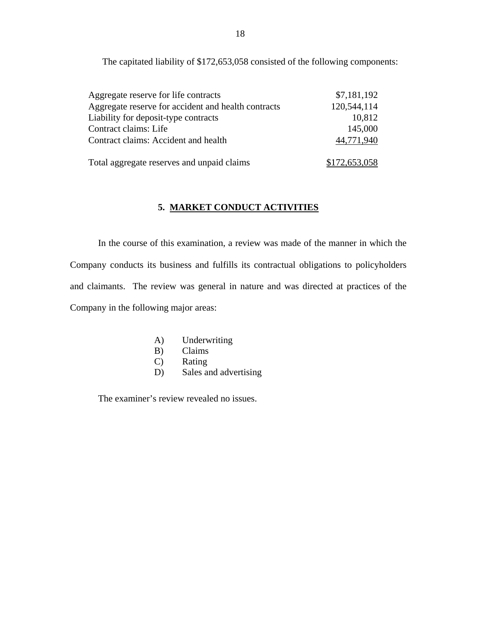The capitated liability of \$172,653,058 consisted of the following components:

| Aggregate reserve for life contracts                | \$7,181,192   |
|-----------------------------------------------------|---------------|
| Aggregate reserve for accident and health contracts | 120,544,114   |
| Liability for deposit-type contracts                | 10,812        |
| Contract claims: Life                               | 145,000       |
| Contract claims: Accident and health                | 44,771,940    |
| Total aggregate reserves and unpaid claims          | \$172,653,058 |

## **5. MARKET CONDUCT ACTIVITIES**

In the course of this examination, a review was made of the manner in which the Company conducts its business and fulfills its contractual obligations to policyholders and claimants. The review was general in nature and was directed at practices of the Company in the following major areas:

- A) Underwriting
- B) Claims
- C) Rating
- D) Sales and advertising

The examiner's review revealed no issues.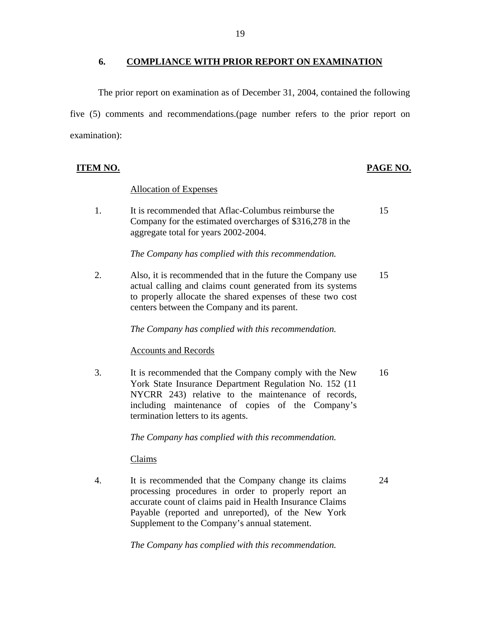## **6. COMPLIANCE WITH PRIOR REPORT ON EXAMINATION**

<span id="page-20-0"></span>The prior report on examination as of December 31, 2004, contained the following five (5) comments and recommendations.(page number refers to the prior report on examination):

## **ITEM NO. PAGE NO.**

## **Allocation of Expenses**

1. It is recommended that Aflac-Columbus reimburse the 15 Company for the estimated overcharges of \$316,278 in the aggregate total for years 2002-2004.

*The Company has complied with this recommendation.* 

2. Also, it is recommended that in the future the Company use 15 actual calling and claims count generated from its systems to properly allocate the shared expenses of these two cost centers between the Company and its parent.

*The Company has complied with this recommendation.* 

### **Accounts and Records**

3. It is recommended that the Company comply with the New 16 York State Insurance Department Regulation No. 152 (11 NYCRR 243) relative to the maintenance of records, including maintenance of copies of the Company's termination letters to its agents.

*The Company has complied with this recommendation.* 

Claims

4. It is recommended that the Company change its claims 24 processing procedures in order to properly report an accurate count of claims paid in Health Insurance Claims Payable (reported and unreported), of the New York Supplement to the Company's annual statement.

*The Company has complied with this recommendation.*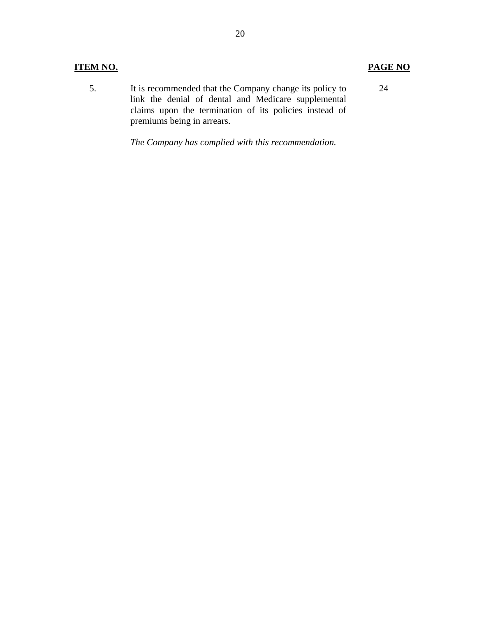## **ITEM NO.**

5. It is recommended that the Company change its policy to link the denial of dental and Medicare supplemental claims upon the termination of its policies instead of premiums being in arrears. 24

*The Company has complied with this recommendation.* 

**PAGE NO.**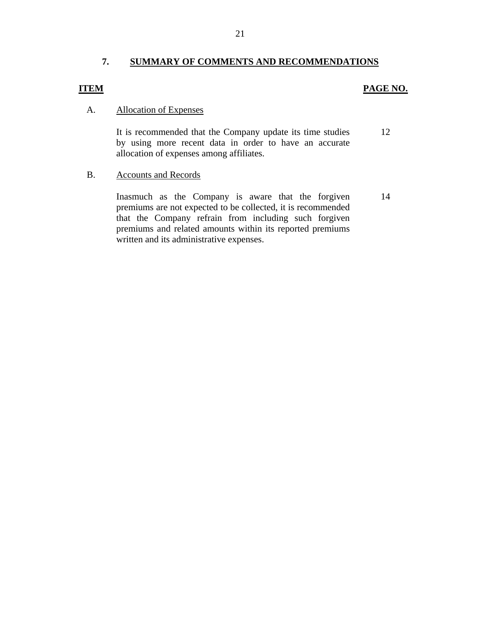## **7. SUMMARY OF COMMENTS AND RECOMMENDATIONS**

## <span id="page-22-0"></span>**ITEM**

## **PAGE NO.**

## **Allocation of Expenses**

A. Allocation of Expenses<br>It is recommended that the Company update its time studies 12 by using more recent data in order to have an accurate allocation of expenses among affiliates.

### **Accounts and Records**

B. Accounts and Records<br>Inasmuch as the Company is aware that the forgiven 14 premiums are not expected to be collected, it is recommended that the Company refrain from including such forgiven premiums and related amounts within its reported premiums written and its administrative expenses.